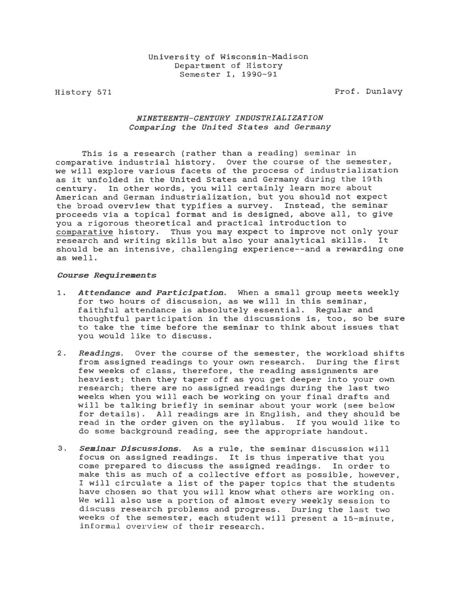History 571

Prof. Dunlavy

# *NINETEENTH-CENTURY INDUSTRIALIZATION Comparing the United States and Germany*

This *is* a research (rather than a reading) seminar *in*  comparative industrial history. Over the course of the semester, we will explore various facets of the process of industrialization as it unfolded *in* the United States and Germany during the 19th century. In other words, you will certainly learn more about American and German industrialization, but you should not expect the broad overview that typifies a survey. Instead, the seminar proceeds via a topical format and *is* designed, above all, to give you a rigorous theoretical and practical introduction to comparative history. Thus you may expect to improve not only your research and writing skills but also your analytical skills. It should be an intensive, challenging experience--and a rewarding one as well.

# *Course Requirements*

- 1. *Attendance and Participation.* When a small group meets weekly for two hours of discussion, as we will *in* this seminar, faithful attendance is absolutely essential. Regular and thoughtful participation in the discussions is, too, so be sure to take the time before the seminar to think about issues that you would like to discuss.
- 2. *Readings.* Over the course of the semester, the workload shifts from assigned readings to your own research. During the first few weeks of class, therefore, the reading assignments are heaviest; then they taper off as you get deeper into your own research; there are no assigned readings during the last two weeks when you will each be working on your final drafts and will be talking briefly in seminar about your work (see below for details). All readings are *in* English, and they should be read in the order given on the syllabus. If you would like to do some background reading, see the appropriate handout.
- 3. *Seminar Discussions.* As a rule, the seminar discussion will focus on assigned readings. It is thus imperative that you come prepared to discuss the assigned readings. In order to make this as much of a collective effort as possible, however, I will circulate a list of the paper topics that the students have chosen so that you will know what others are working on. We will also use a portion of almost every weekly session to discuss research problems and progress. During the last two weeks of the semester, each student will present a 15-minute, informal overview of their research.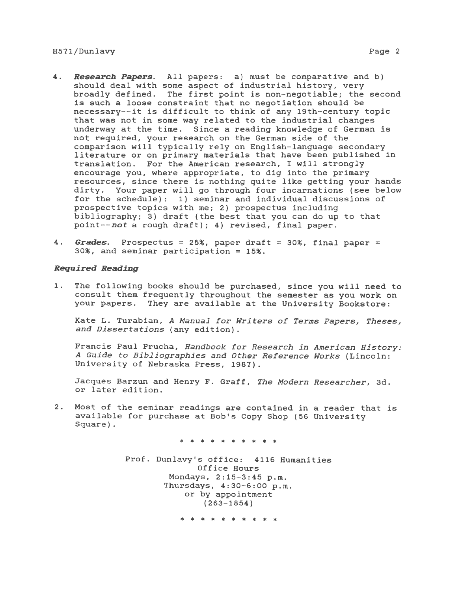# H571/Dunlavy Page 2

- **4.** *Research Papers.* All papers: a) must be comparative and b) should deal with some aspect of industrial history, very broadly defined. The first point *is* non-negotiable; the second *is* such a loose constraint that no negotiation should be necessary--it *is* difficult to think of any 19th-century topic that was not *in* some way related to the industrial changes underway at the time. *Since* a reading knowledge of German is not required, your research on the German side of the comparison will typically rely on English-language secondary literature or on primary materials that have been published in translation. For the American research, I will strongly encourage you, where appropriate, to dig into the primary resources, *since* there is nothing quite like getting your hands dirty. Your paper will go through four incarnations (see below for the schedule): 1) seminar and individual discussions of prospective topics with me; 2) prospectus including bibliography; 3) draft (the best that you can do up to that point--not a rough draft); 4) revised, final paper.
- **4. Grades.** Prospectus = 25%, paper draft = 30%, final paper = 30%, and seminar participation = 15%.

# *Required Reading*

1. The following books should be purchased, since you will need to consult them frequently throughout the semester as you work on your papers. They are available at the University Bookstore:

Kate L. Turabian, *A Manual for Writers of Terms Papers, Theses, and Dissertations* (any edition).

Francis Paul Prucha, *Handbook for Research in American History: A Guide to Bibliographies and Other Reference Works* (Lincoln: University of Nebraska Press, 1987).

Jacques Barzun and Henry F. Graff, *The Modern Researcher,* 3d. or later edition.

2. Most of the seminar readings are contained *in* a reader that *is*  available for purchase at Bob's Copy Shop (56 University Square).

\* \* \* \* \* \* \* \* \*

Prof. Dunlavy's office: 4116 Humanities Office Hours Mondays, 2:15-3:45 p.m. Thursdays, 4:30-6:00 p.m. or by appointment (263-1854)

\* \* \* \* \* \* \* \* \* \*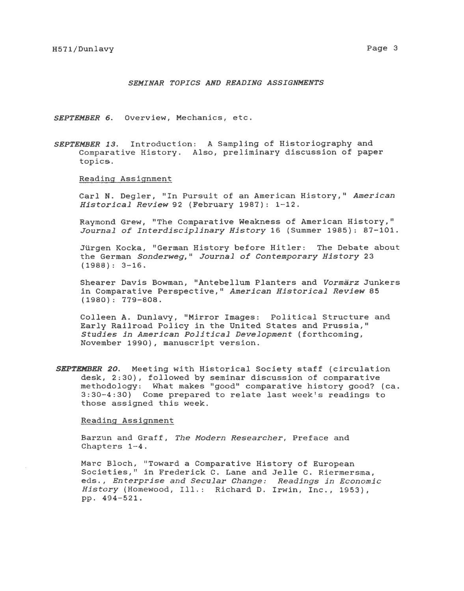# *SEMINAR TOPICS AND READING ASSIGNMENTS*

*SEPTEMBER 6.* Overview, Mechanics, etc.

*SEPTEMBER 13.* Introduction: A Sampling of Historiography and Comparative History. Also, preliminary discussion of paper topics.

Reading Assignment

Carl N. Degler, "In Pursuit of an American History," American *Historical Review* 92 (February 1987): 1-12.

Raymond Grew, "The Comparative Weakness of American History," *Journal of Interdisciplinary History* 16 (Summer 1985): 87-101.

Jürgen Kocka, "German History before Hitler: The Debate about the German *Sonderweg*," *Journal of Contemporary History* 23  $(1988): 3-16.$ 

Shearer Davis Bowman, 11 Antebellum Planters and *Vormarz* Junkers in Comparative Perspective," American Historical Review 85 (1980): 779-808.

Colleen A. Dunlavy, "Mirror Images: Political Structure and Early Railroad Policy in the United States and Prussia," *Studies in American Political Development* (forthcoming, November 1990), manuscript version.

*SEPTEMBER 20.* Meeting with Historical Society staff (circulation desk, 2:30), followed by seminar discussion of comparative methodology: What makes "good" comparative history good? (ca. 3:30-4:30) Come prepared to relate last week's readings to those assigned this week.

#### Reading Assignment

Barzun and Graff, *The Modern Researcher,* Preface and Chapters 1-4.

Marc Bloch, "Toward a Comparative History of European Societies," in Frederick C. Lane and Jelle C. Riermersma, eds., *Enterprise and Secular Change: Readings in Economic History* (Homewood, Ill.: Richard D. Irwin, Inc., 1953), pp. 494-521.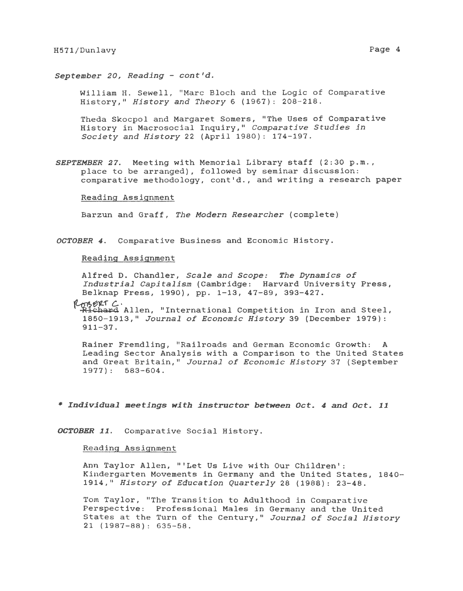William H. Sewell, "Marc Bloch and the Logic of Comparative History," *History and Theory* 6 (1967): 208-218.

Theda Skocpol and Margaret Somers, "The Uses of Comparative History in Macrosocial Inquiry," *Comparative Studies in Society and History* 22 (April 1980): 174-197.

**SEPTEMBER 27.** Meeting with Memorial Library staff (2:30 p.m., place to be arranged), followed by seminar discussion: comparative methodology, cont'd., and writing a research paper

# Reading Assignment

Barzun and Graff, *The Modern Researcher* (complete)

*OCTOBER 4.* Comparative Business and Economic History.

#### Reading Assignment

Alfred D. Chandler, *Scale and Scope: The Dynamics of Industrial Capitalism* (Cambridge: Harvard University Press, Belknap Press, 1990), pp. 1-13, 47-89, 393-427.

Rogerr C.

,-1Uchard Allen, "International Competition *in* Iron and Steel, 1850-1913," *Journal of Economic History* 39 (December 1979): 911-37.

Rainer Fremdling, "Railroads and German Economic Growth: A Leading Sector Analysis with a Comparison to the United States and Great Britain," *Journal of Economic History* 37 (September 1977) : 583-604.

\* *Individual meetings with instructor between Oct. 4 and Oct. 11* 

*OCTOBER 11.* Comparative Social History.

### Reading Assignment

Ann Taylor Allen, "'Let Us Live with Our Children': Kindergarten Movements *in* Germany and the United States, 1840- 1914," *History of Education Quarterly* 28 (1988): 23-48.

Tom Taylor, "The Transition to Adulthood in Comparative Perspective: Professional Males in Germany and the United States at the Turn of the Century," *Journal of Social History*  21 (1987-88): 635-58.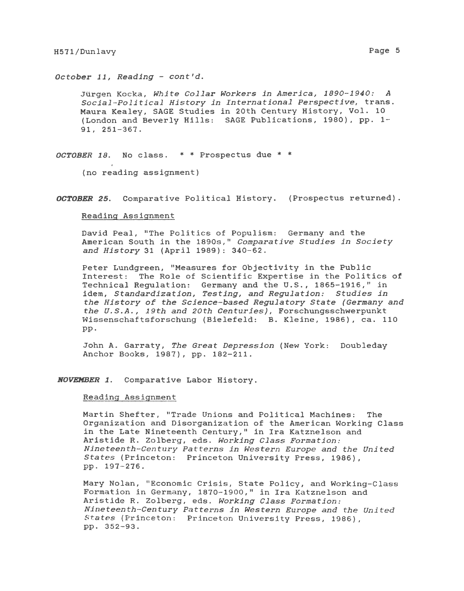*October 11, Reading* - *cont'd.* 

Jtirgen Kocka, *White Collar Workers in America, 1890-1940: A Social-Political History in International Perspective,* trans. Maura Kealey, SAGE Studies in 20th Century History, Vol. 10 (London and Beverly Hills: SAGE Publications, 1980), pp. 1- 91, 251-367.

*OCTOBER 18.* No class. \* \* Prospectus due \* \*<br>(no reading assignment)

*OCTOBER 25.* Comparative Political History. (Prospectus returned).

#### Reading Assignment

David Peal, "The Politics of Populism: Germany and the American South in the 1890s," *Comparative Studies in Society and History* 31 (April 1989): 340-62.

Peter Lundgreen, "Measures for Objectivity *in* the Public Interest: The Role of Scientific Expertise in the Politics of Technical Regulation: Germany and the U.S., 1865-1916," in idem, *Standardization, Testing, and Regulation: Studies in the History of the Science-based Regulatory State (Germany and the U.S.A., 19th and 20th Centuries),* Forschungsschwerpunkt Wissenschaftsforschung (Bielefeld: B. *Kleine,* 1986), ca. 110 pp.

John A. Garraty, *The Great Depression* (New York: Doubleday Anchor Books, 1987), pp. 182-211.

*NOVEMBER 1.* Comparative Labor History.

# Reading Assignment

Martin Shefter, "Trade Unions and Political Machines: The Organization and Disorganization of the American Working Class *in* the Late Nineteenth Century," in Ira Katznelson and Aristide R. Zolberg, eds. *Working Class Formation: Nineteenth-Century Patterns in Western Europe and the United States* (Princeton: Princeton University Press, 1986}, pp. 197-276.

Mary Nolan, "Economic *Crisis,* State Policy, and Working-Class Formation in Germany, 1870-1900," in Ira Katznelson and Aristide R. Zolberg, eds. *Working Class Formation: Nineteenth-Century Patterns in Western Europe and the United States* (Princeton: Princeton University Press, 1986), pp. 352-93.